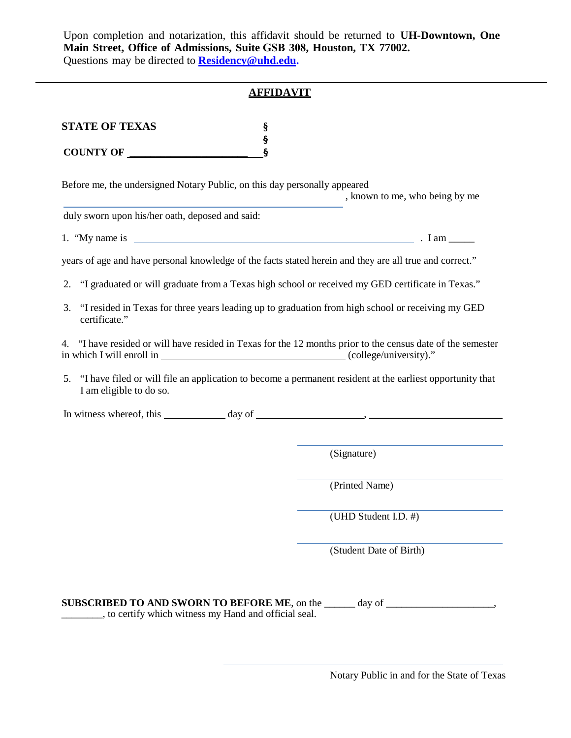Upon completion and notarization, this affidavit should be returned to **UH-Downtown, One Main Street, Office of Admissions, Suite GSB 308, Houston, TX 77002.**  Questions may be directed to **Residency@uh[d.edu.](mailto:Residency@uhd.edu)**

## **AFFIDAVIT**

| <b>STATE OF TEXAS</b> |  |
|-----------------------|--|
|                       |  |
| <b>COUNTY OF</b>      |  |

Before me, the undersigned Notary Public, on this day personally appeared

, known to me, who being by me

duly sworn upon his/her oath, deposed and said:

1. "My name is  $\frac{1}{2}$  and  $\frac{1}{2}$  and  $\frac{1}{2}$  and  $\frac{1}{2}$  and  $\frac{1}{2}$  and  $\frac{1}{2}$  and  $\frac{1}{2}$  and  $\frac{1}{2}$  and  $\frac{1}{2}$  and  $\frac{1}{2}$  and  $\frac{1}{2}$  and  $\frac{1}{2}$  and  $\frac{1}{2}$  and  $\frac{1}{2}$  and  $\frac{1}{2}$ 

years of age and have personal knowledge of the facts stated herein and they are all true and correct."

- 2. "I graduated or will graduate from a Texas high school or received my GED certificate in Texas."
- 3. "I resided in Texas for three years leading up to graduation from high school or receiving my GED certificate."

4. "I have resided or will have resided in Texas for the 12 months prior to the census date of the semester in which I will enroll in (college/university)."

5. "I have filed or will file an application to become a permanent resident at the earliest opportunity that I am eligible to do so.

In witness whereof, this  $\qquad \qquad \text{day of} \qquad \qquad \text{.}$ 

(Signature)

(Printed Name)

(UHD Student I.D. #)

(Student Date of Birth)

|  | <b>SUBSCRIBED TO AND SWORN TO BEFORE ME, on the</b>   | day of |  |
|--|-------------------------------------------------------|--------|--|
|  | , to certify which witness my Hand and official seal. |        |  |

Notary Public in and for the State of Texas